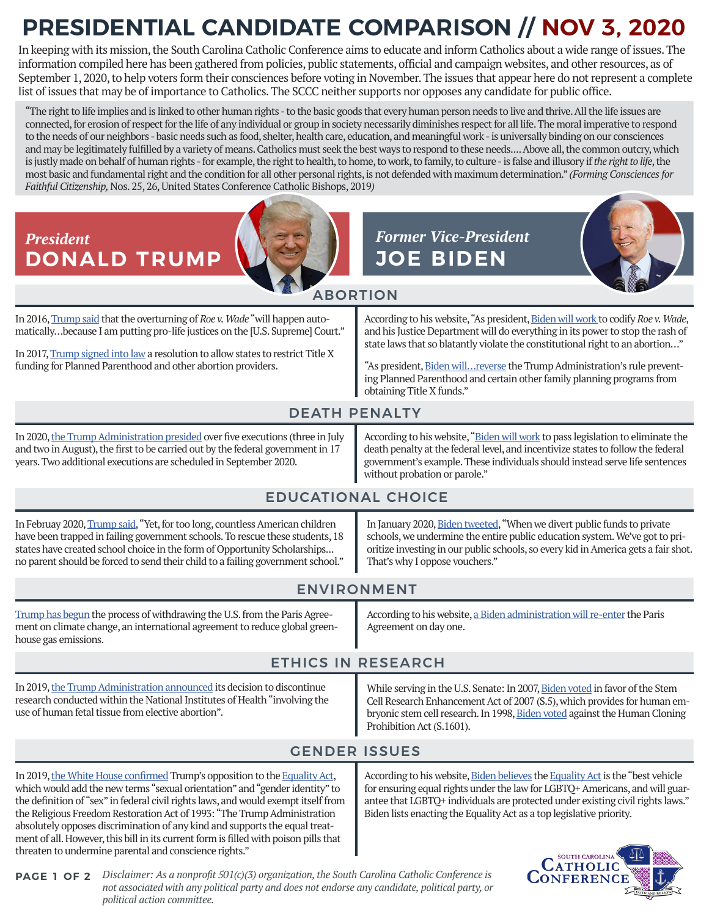## **PRESIDENTIAL CANDIDATE COMPARISON // NOV 3, 2020**

In keeping with its mission, the South Carolina Catholic Conference aims to educate and inform Catholics about a wide range of issues. The information compiled here has been gathered from policies, public statements, official and campaign websites, and other resources, as of September 1, 2020, to help voters form their consciences before voting in November. The issues that appear here do not represent a complete list of issues that may be of importance to Catholics. The SCCC neither supports nor opposes any candidate for public office.

"The right to life implies and is linked to other human rights - to the basic goods that every human person needs to live and thrive. All the life issues are connected, for erosion of respect for the life of any individual or group in society necessarily diminishes respect for all life. The moral imperative to respond to the needs of our neighbors - basic needs such as food, shelter, health care, education, and meaningful work - is universally binding on our consciences and may be legitimately fulfilled by a variety of means. Catholics must seek the best ways to respond to these needs.... Above all, the common outcry, which is justly made on behalf of human rights - for example, the right to health, to home, to work, to family, to culture - is false and illusory if *the right to life*, the most basic and fundamental right and the condition for all other personal rights, is not defended with maximum determination." *(Forming Consciences for Faithful Citizenship,* Nos. 25, 26, United States Conference Catholic Bishops, 2019*)* 



*Disclaimer: As a nonprofit 501(c)(3) organization, the South Carolina Catholic Conference is*  **PAGE 1 OF 2** *not associated with any political party and does not endorse any candidate, political party, or political action committee.*